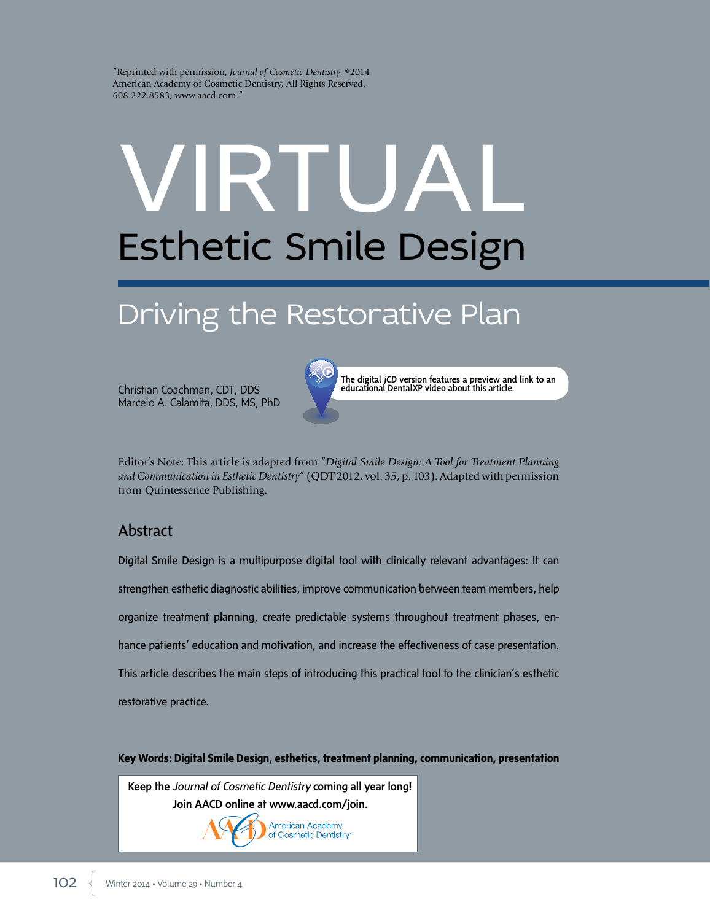"Reprinted with permission, *Journal of Cosmetic Dentistry*, ©2014 American Academy of Cosmetic Dentistry, All Rights Reserved. 608.222.8583; www.aacd.com."

# VIRTUAL Esthetic Smile Design

# Driving the Restorative Plan

Christian Coachman, CDT, DDS Marcelo A. Calamita, DDS, MS, PhD



The digital *jCD* version features a preview and link to an educational DentalXP video about this article.

Editor's Note: This article is adapted from "*Digital Smile Design: A Tool for Treatment Planning and Communication in Esthetic Dentistry*" (QDT 2012, vol. 35, p. 103). Adapted with permission from Quintessence Publishing.

# Abstract

Digital Smile Design is a multipurpose digital tool with clinically relevant advantages: It can strengthen esthetic diagnostic abilities, improve communication between team members, help organize treatment planning, create predictable systems throughout treatment phases, enhance patients' education and motivation, and increase the effectiveness of case presentation. This article describes the main steps of introducing this practical tool to the clinician's esthetic restorative practice.

**Key Words: Digital Smile Design, esthetics, treatment planning, communication, presentation**

Keep the *Journal of Cosmetic Dentistry* coming all year long! Join AACD online at www.aacd.com/join.

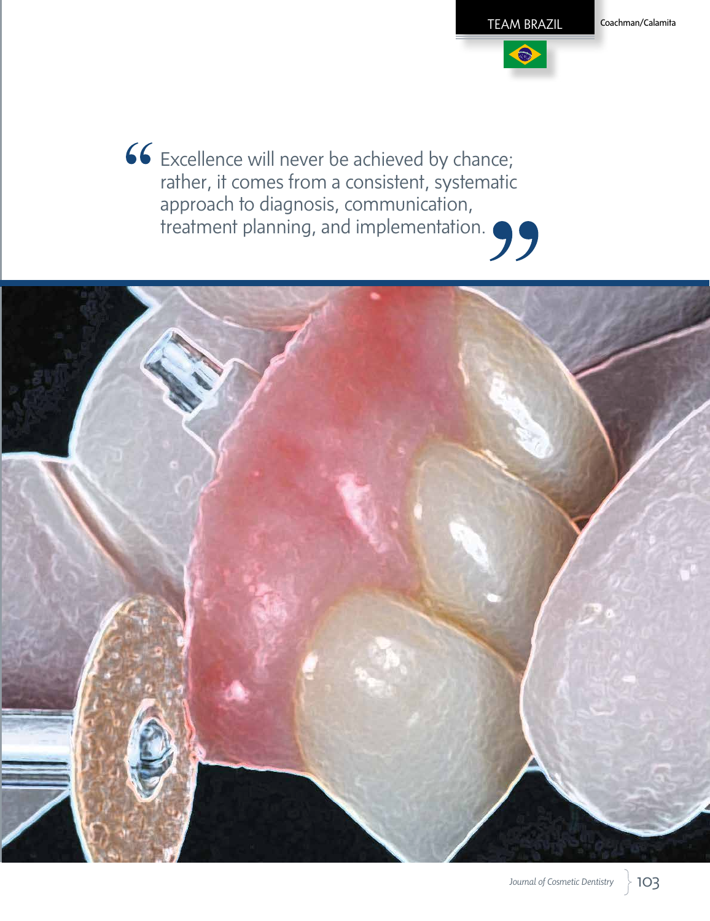$\bigcirc$ 

66 Excellence will never be achieved by chance; rather, it comes from a consistent, systematic approach to diagnosis, communication, treatment planning, and implementation.

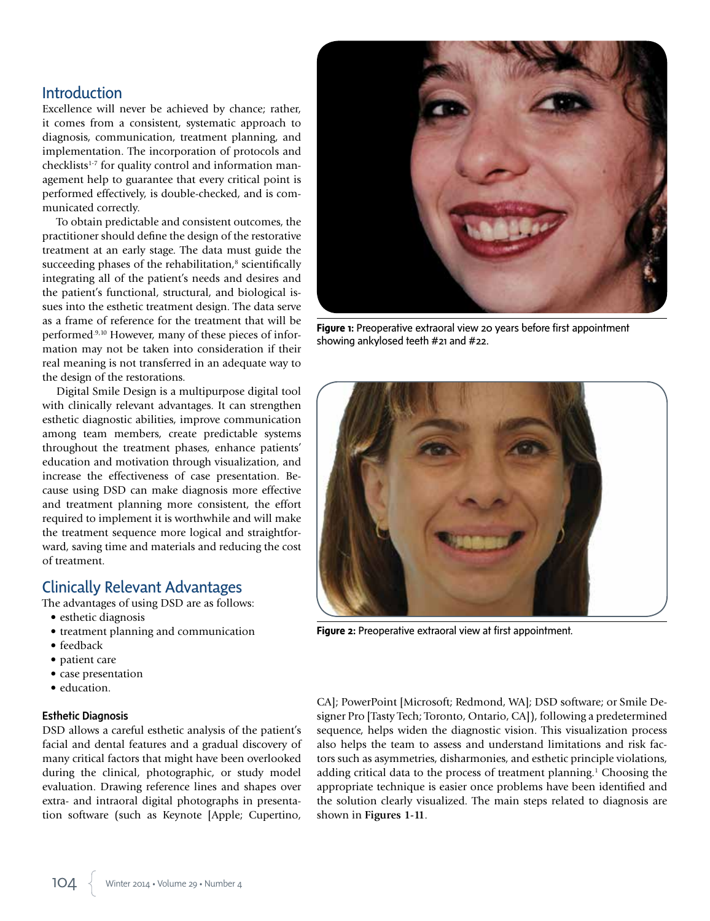## Introduction

Excellence will never be achieved by chance; rather, it comes from a consistent, systematic approach to diagnosis, communication, treatment planning, and implementation. The incorporation of protocols and checklists<sup>1-7</sup> for quality control and information management help to guarantee that every critical point is performed effectively, is double-checked, and is communicated correctly.

To obtain predictable and consistent outcomes, the practitioner should define the design of the restorative treatment at an early stage. The data must guide the succeeding phases of the rehabilitation, $\delta$  scientifically integrating all of the patient's needs and desires and the patient's functional, structural, and biological issues into the esthetic treatment design. The data serve as a frame of reference for the treatment that will be performed.9,10 However, many of these pieces of information may not be taken into consideration if their real meaning is not transferred in an adequate way to the design of the restorations.

Digital Smile Design is a multipurpose digital tool with clinically relevant advantages. It can strengthen esthetic diagnostic abilities, improve communication among team members, create predictable systems throughout the treatment phases, enhance patients' education and motivation through visualization, and increase the effectiveness of case presentation. Because using DSD can make diagnosis more effective and treatment planning more consistent, the effort required to implement it is worthwhile and will make the treatment sequence more logical and straightforward, saving time and materials and reducing the cost of treatment.

# Clinically Relevant Advantages

The advantages of using DSD are as follows:

- esthetic diagnosis
- treatment planning and communication
- feedback
- patient care
- case presentation
- education.

#### Esthetic Diagnosis

DSD allows a careful esthetic analysis of the patient's facial and dental features and a gradual discovery of many critical factors that might have been overlooked during the clinical, photographic, or study model evaluation. Drawing reference lines and shapes over extra- and intraoral digital photographs in presentation software (such as Keynote [Apple; Cupertino,



**Figure 1:** Preoperative extraoral view 20 years before first appointment showing ankylosed teeth #21 and #22.



**Figure 2:** Preoperative extraoral view at first appointment.

CA]; PowerPoint [Microsoft; Redmond, WA]; DSD software; or Smile Designer Pro [Tasty Tech; Toronto, Ontario, CA]), following a predetermined sequence, helps widen the diagnostic vision. This visualization process also helps the team to assess and understand limitations and risk factors such as asymmetries, disharmonies, and esthetic principle violations, adding critical data to the process of treatment planning.1 Choosing the appropriate technique is easier once problems have been identified and the solution clearly visualized. The main steps related to diagnosis are shown in **Figures 1-11**.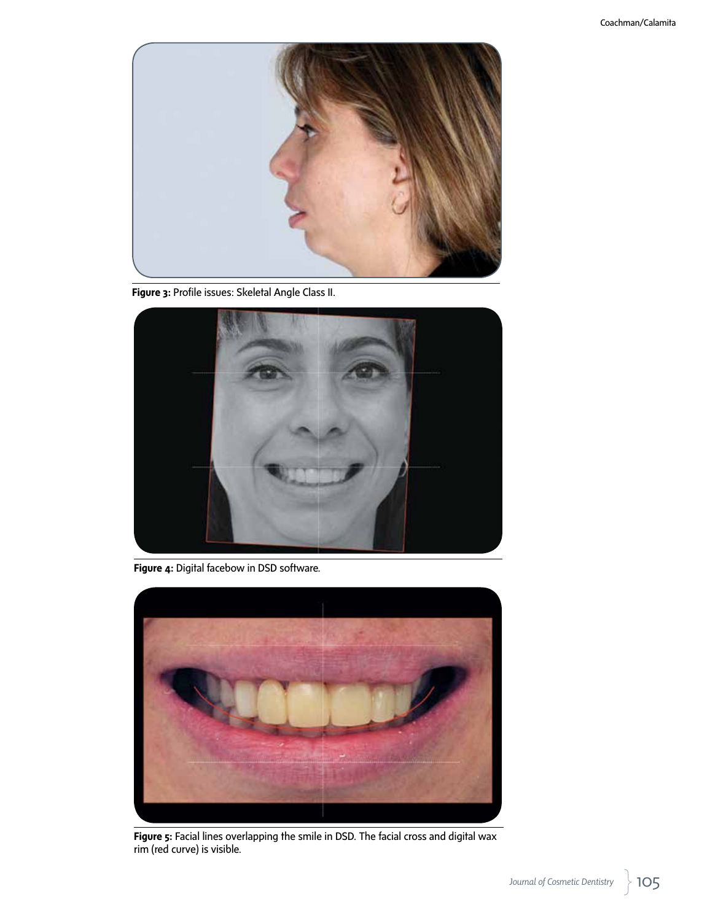

**Figure 3:** Profile issues: Skeletal Angle Class II.



**Figure 4:** Digital facebow in DSD software.



**Figure 5:** Facial lines overlapping the smile in DSD. The facial cross and digital wax rim (red curve) is visible.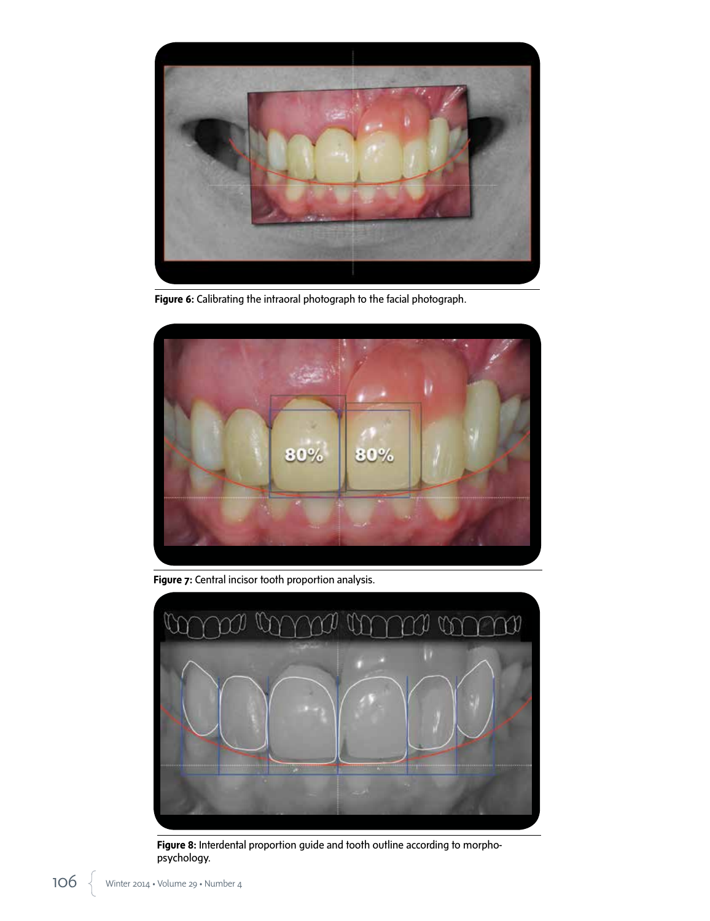

**Figure 6:** Calibrating the intraoral photograph to the facial photograph.



Figure 7: Central incisor tooth proportion analysis.



Figure 8: Interdental proportion guide and tooth outline according to morphopsychology.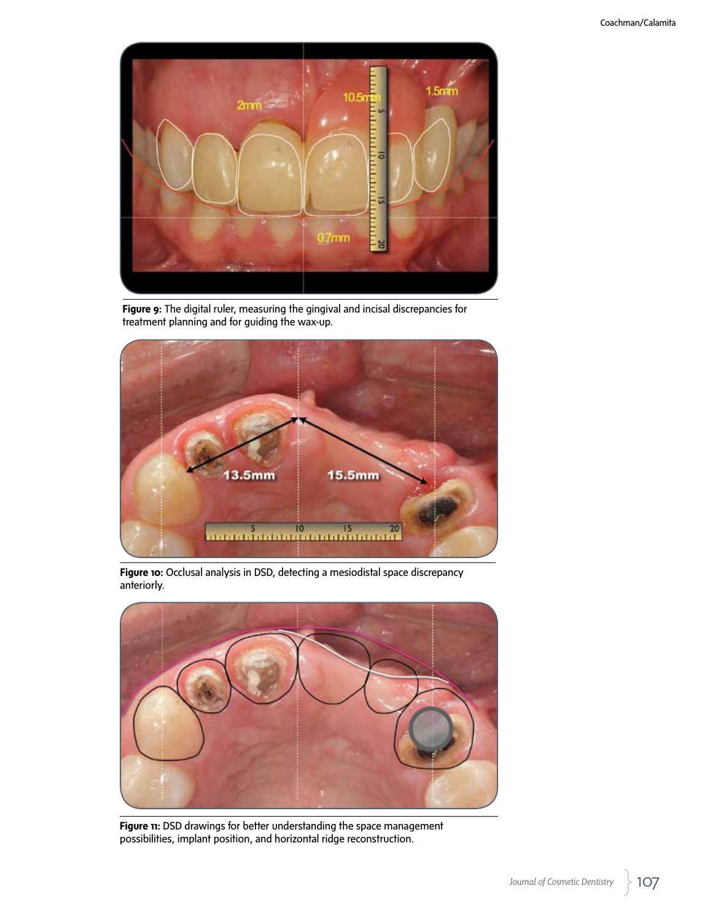

**Figure 9:** The digital ruler, measuring the gingival and incisal discrepancies for treatment planning and for guiding the wax-up.



**Figure 10:** Occlusal analysis in DSD, detecting a mesiodistal space discrepancy anteriorly.



**Figure 11:** DSD drawings for better understanding the space management possibilities, implant position, and horizontal ridge reconstruction.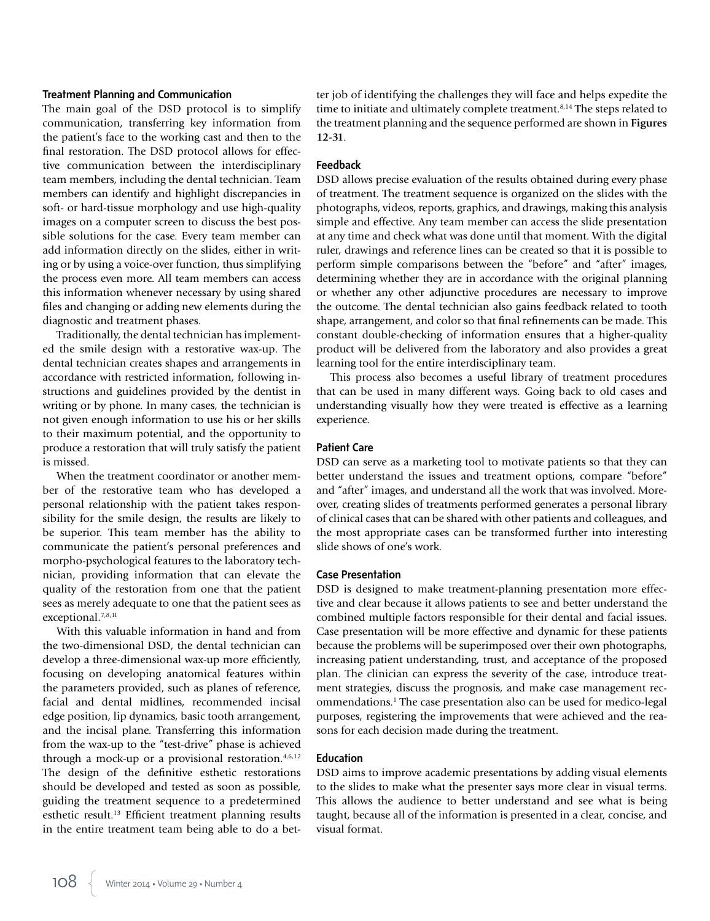#### Treatment Planning and Communication

The main goal of the DSD protocol is to simplify communication, transferring key information from the patient's face to the working cast and then to the final restoration. The DSD protocol allows for effective communication between the interdisciplinary team members, including the dental technician. Team members can identify and highlight discrepancies in soft- or hard-tissue morphology and use high-quality images on a computer screen to discuss the best possible solutions for the case. Every team member can add information directly on the slides, either in writing or by using a voice-over function, thus simplifying the process even more. All team members can access this information whenever necessary by using shared files and changing or adding new elements during the diagnostic and treatment phases.

Traditionally, the dental technician has implemented the smile design with a restorative wax-up. The dental technician creates shapes and arrangements in accordance with restricted information, following instructions and guidelines provided by the dentist in writing or by phone. In many cases, the technician is not given enough information to use his or her skills to their maximum potential, and the opportunity to produce a restoration that will truly satisfy the patient is missed.

When the treatment coordinator or another member of the restorative team who has developed a personal relationship with the patient takes responsibility for the smile design, the results are likely to be superior. This team member has the ability to communicate the patient's personal preferences and morpho-psychological features to the laboratory technician, providing information that can elevate the quality of the restoration from one that the patient sees as merely adequate to one that the patient sees as exceptional.7,8,11

With this valuable information in hand and from the two-dimensional DSD, the dental technician can develop a three-dimensional wax-up more efficiently, focusing on developing anatomical features within the parameters provided, such as planes of reference, facial and dental midlines, recommended incisal edge position, lip dynamics, basic tooth arrangement, and the incisal plane. Transferring this information from the wax-up to the "test-drive" phase is achieved through a mock-up or a provisional restoration. $4,6,12$ The design of the definitive esthetic restorations should be developed and tested as soon as possible, guiding the treatment sequence to a predetermined esthetic result.<sup>13</sup> Efficient treatment planning results in the entire treatment team being able to do a better job of identifying the challenges they will face and helps expedite the time to initiate and ultimately complete treatment.<sup>8,14</sup> The steps related to the treatment planning and the sequence performed are shown in **Figures 12-31**.

#### Feedback

DSD allows precise evaluation of the results obtained during every phase of treatment. The treatment sequence is organized on the slides with the photographs, videos, reports, graphics, and drawings, making this analysis simple and effective. Any team member can access the slide presentation at any time and check what was done until that moment. With the digital ruler, drawings and reference lines can be created so that it is possible to perform simple comparisons between the "before" and "after" images, determining whether they are in accordance with the original planning or whether any other adjunctive procedures are necessary to improve the outcome. The dental technician also gains feedback related to tooth shape, arrangement, and color so that final refinements can be made. This constant double-checking of information ensures that a higher-quality product will be delivered from the laboratory and also provides a great learning tool for the entire interdisciplinary team.

This process also becomes a useful library of treatment procedures that can be used in many different ways. Going back to old cases and understanding visually how they were treated is effective as a learning experience.

#### Patient Care

DSD can serve as a marketing tool to motivate patients so that they can better understand the issues and treatment options, compare "before" and "after" images, and understand all the work that was involved. Moreover, creating slides of treatments performed generates a personal library of clinical cases that can be shared with other patients and colleagues, and the most appropriate cases can be transformed further into interesting slide shows of one's work.

#### Case Presentation

DSD is designed to make treatment-planning presentation more effective and clear because it allows patients to see and better understand the combined multiple factors responsible for their dental and facial issues. Case presentation will be more effective and dynamic for these patients because the problems will be superimposed over their own photographs, increasing patient understanding, trust, and acceptance of the proposed plan. The clinician can express the severity of the case, introduce treatment strategies, discuss the prognosis, and make case management recommendations.1 The case presentation also can be used for medico-legal purposes, registering the improvements that were achieved and the reasons for each decision made during the treatment.

#### Education

DSD aims to improve academic presentations by adding visual elements to the slides to make what the presenter says more clear in visual terms. This allows the audience to better understand and see what is being taught, because all of the information is presented in a clear, concise, and visual format.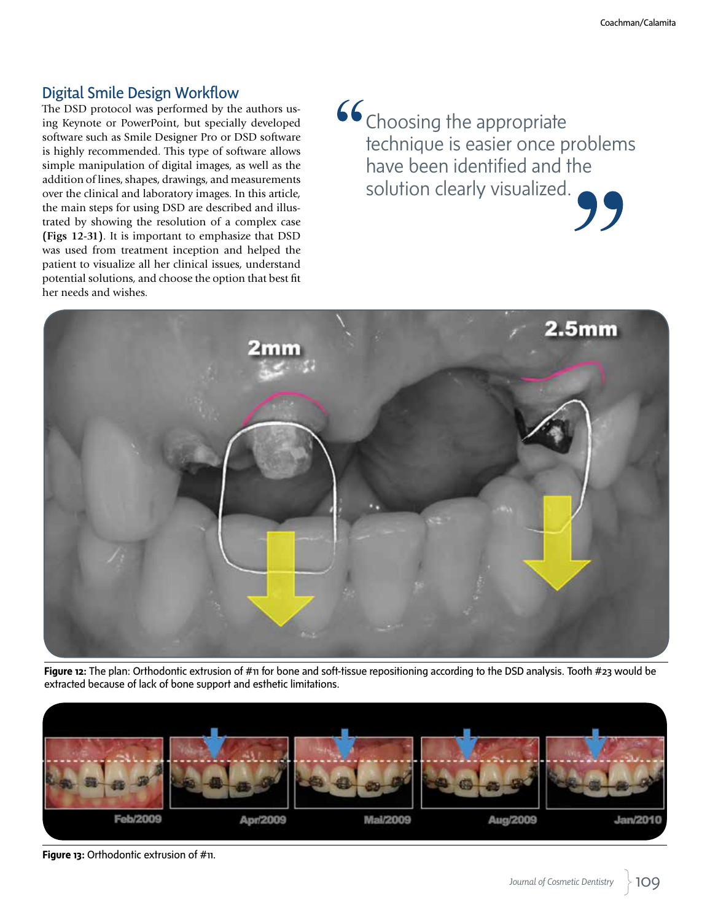# Digital Smile Design Workflow

The DSD protocol was performed by the authors using Keynote or PowerPoint, but specially developed software such as Smile Designer Pro or DSD software is highly recommended. This type of software allows simple manipulation of digital images, as well as the addition of lines, shapes, drawings, and measurements over the clinical and laboratory images. In this article, the main steps for using DSD are described and illustrated by showing the resolution of a complex case **(Figs 12-31)**. It is important to emphasize that DSD was used from treatment inception and helped the patient to visualize all her clinical issues, understand potential solutions, and choose the option that best fit her needs and wishes.

66 Choosing the appropriate technique is easier once problems have been identified and the solution clearly visualized.



**Figure 12:** The plan: Orthodontic extrusion of #11 for bone and soft-tissue repositioning according to the DSD analysis. Tooth #23 would be extracted because of lack of bone support and esthetic limitations.



**Figure 13:** Orthodontic extrusion of #11.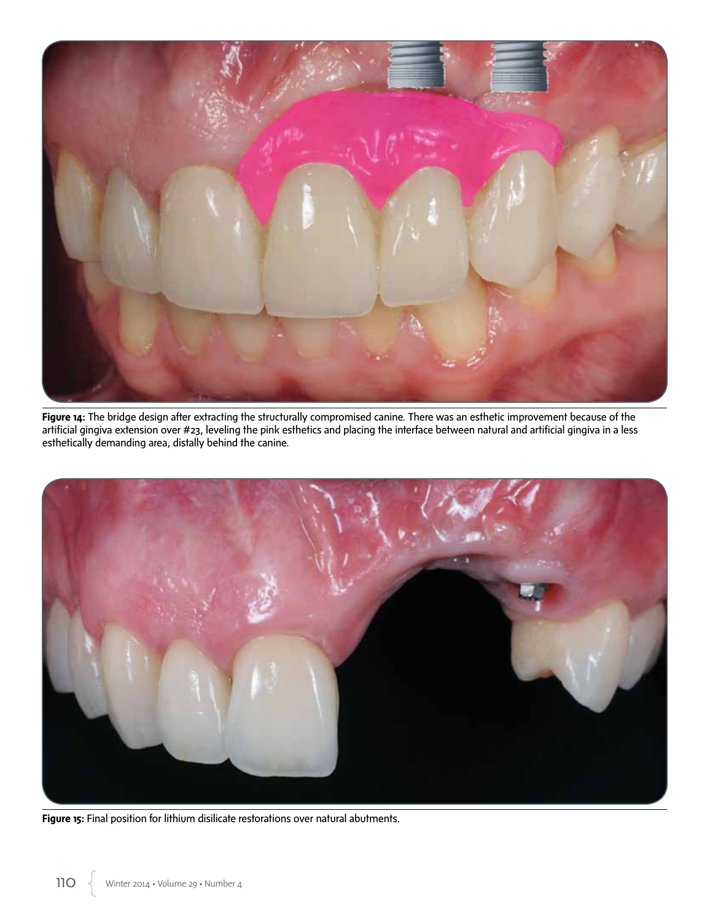

**Figure 14:** The bridge design after extracting the structurally compromised canine. There was an esthetic improvement because of the artificial gingiva extension over #23, leveling the pink esthetics and placing the interface between natural and artificial gingiva in a less esthetically demanding area, distally behind the canine.



**Figure 15:** Final position for lithium disilicate restorations over natural abutments.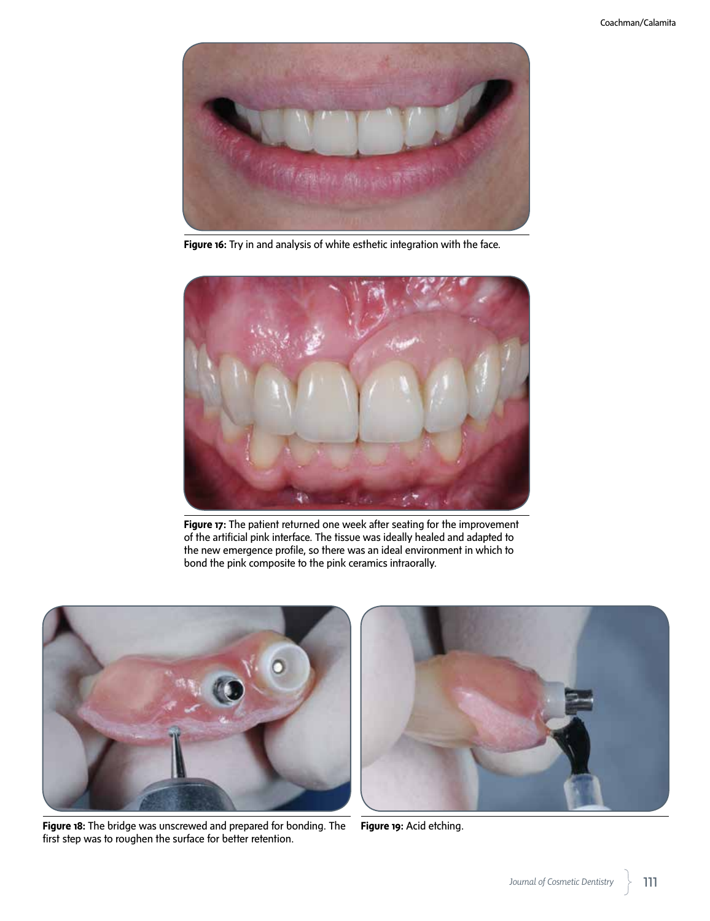

**Figure 16:** Try in and analysis of white esthetic integration with the face.



**Figure 17:** The patient returned one week after seating for the improvement of the artificial pink interface. The tissue was ideally healed and adapted to the new emergence profile, so there was an ideal environment in which to bond the pink composite to the pink ceramics intraorally.



**Figure 18:** The bridge was unscrewed and prepared for bonding. The first step was to roughen the surface for better retention.



**Figure 19:** Acid etching.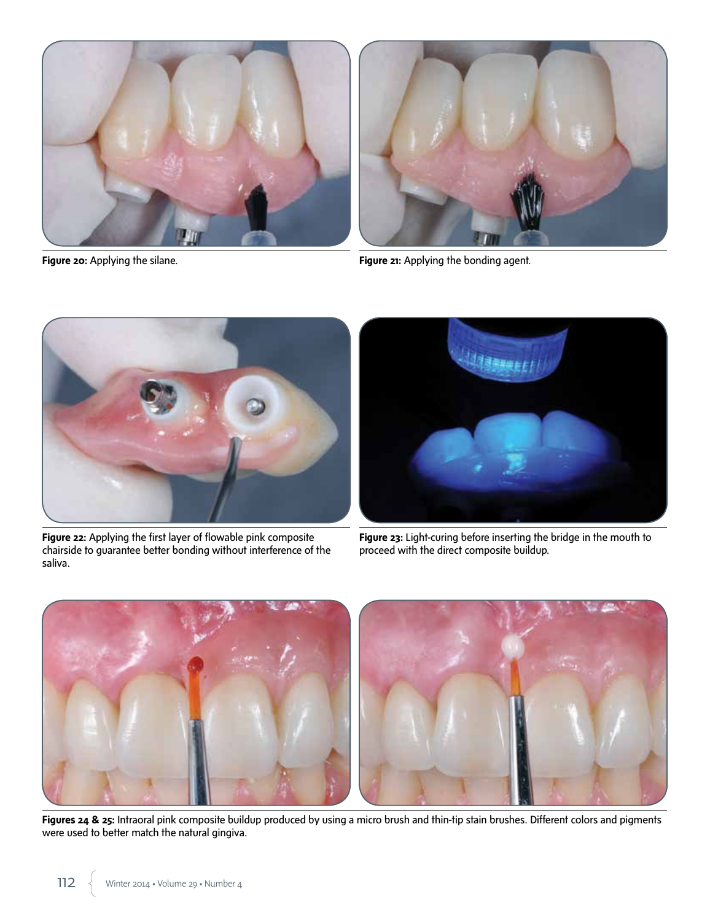



**Figure 20:** Applying the silane. **Figure 21:** Applying the bonding agent.



**Figure 22:** Applying the first layer of flowable pink composite chairside to guarantee better bonding without interference of the saliva.



**Figure 23:** Light-curing before inserting the bridge in the mouth to proceed with the direct composite buildup.



Figures 24 & 25: Intraoral pink composite buildup produced by using a micro brush and thin-tip stain brushes. Different colors and pigments were used to better match the natural gingiva.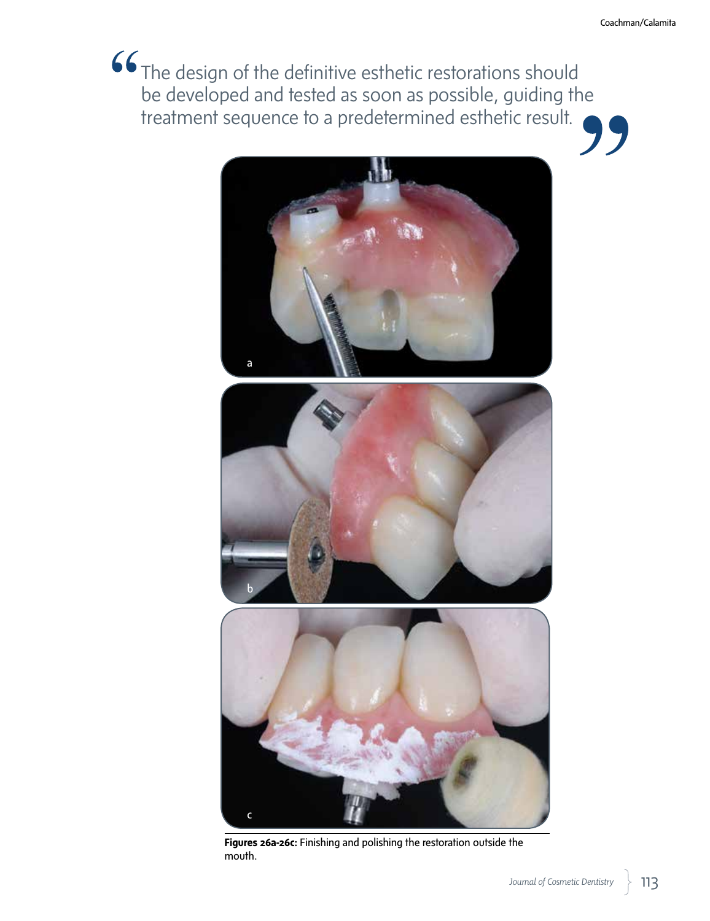**66** The design of the definitive esthetic restorations should be developed and tested as soon as possible, guiding the treatment sequence to a predetermined esthetic result. 7 7



**Figures 26a-26c:** Finishing and polishing the restoration outside the mouth.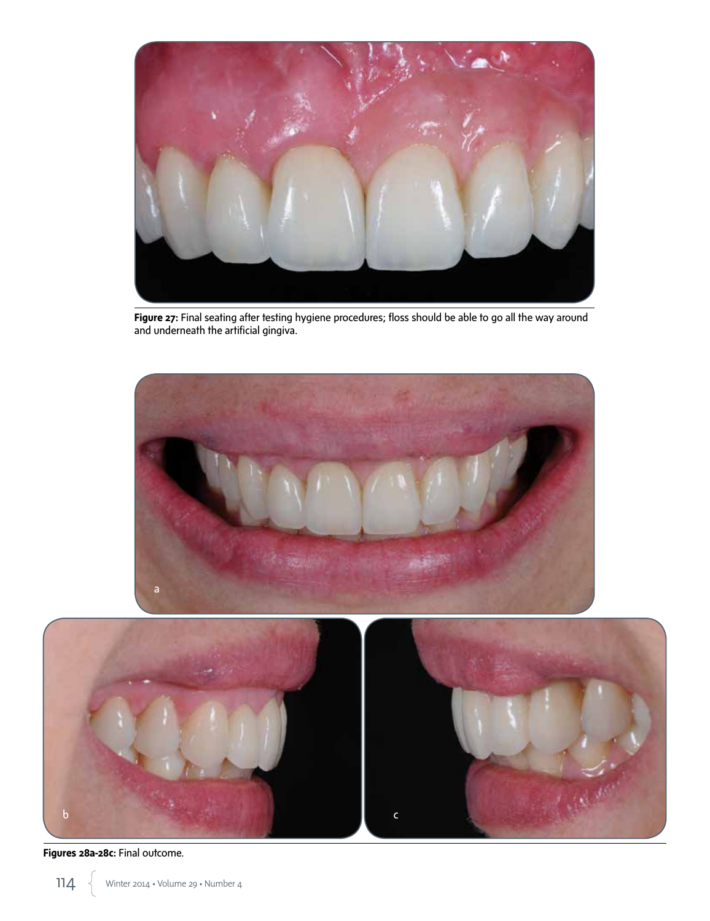

Figure 27: Final seating after testing hygiene procedures; floss should be able to go all the way around and underneath the artificial gingiva.





**Figures 28a-28c:** Final outcome.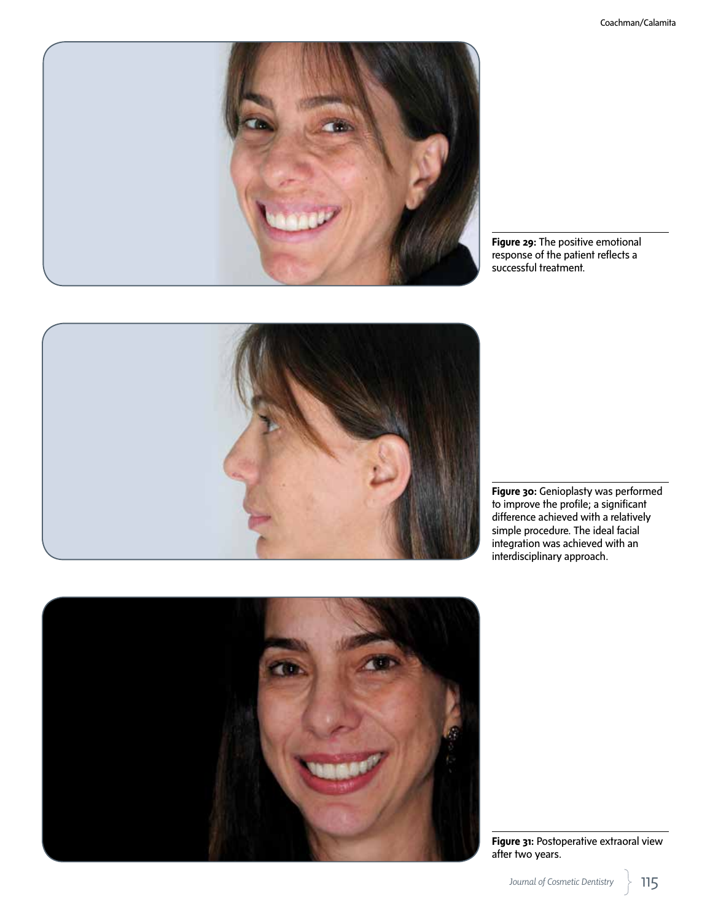

**Figure 29:** The positive emotional response of the patient reflects a successful treatment.



**Figure 30:** Genioplasty was performed to improve the profile; a significant difference achieved with a relatively simple procedure. The ideal facial integration was achieved with an interdisciplinary approach.



**Figure 31:** Postoperative extraoral view after two years.